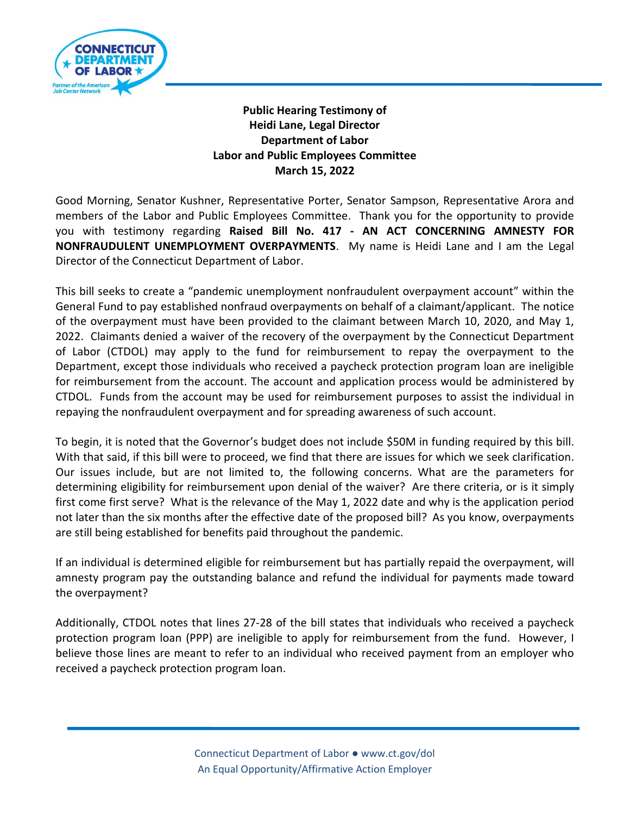

## **Public Hearing Testimony of Heidi Lane, Legal Director Department of Labor Labor and Public Employees Committee March 15, 2022**

Good Morning, Senator Kushner, Representative Porter, Senator Sampson, Representative Arora and members of the Labor and Public Employees Committee. Thank you for the opportunity to provide you with testimony regarding **Raised Bill No. 417 - AN ACT CONCERNING AMNESTY FOR NONFRAUDULENT UNEMPLOYMENT OVERPAYMENTS**. My name is Heidi Lane and I am the Legal Director of the Connecticut Department of Labor.

This bill seeks to create a "pandemic unemployment nonfraudulent overpayment account" within the General Fund to pay established nonfraud overpayments on behalf of a claimant/applicant. The notice of the overpayment must have been provided to the claimant between March 10, 2020, and May 1, 2022. Claimants denied a waiver of the recovery of the overpayment by the Connecticut Department of Labor (CTDOL) may apply to the fund for reimbursement to repay the overpayment to the Department, except those individuals who received a paycheck protection program loan are ineligible for reimbursement from the account. The account and application process would be administered by CTDOL. Funds from the account may be used for reimbursement purposes to assist the individual in repaying the nonfraudulent overpayment and for spreading awareness of such account.

To begin, it is noted that the Governor's budget does not include \$50M in funding required by this bill. With that said, if this bill were to proceed, we find that there are issues for which we seek clarification. Our issues include, but are not limited to, the following concerns. What are the parameters for determining eligibility for reimbursement upon denial of the waiver? Are there criteria, or is it simply first come first serve? What is the relevance of the May 1, 2022 date and why is the application period not later than the six months after the effective date of the proposed bill? As you know, overpayments are still being established for benefits paid throughout the pandemic.

If an individual is determined eligible for reimbursement but has partially repaid the overpayment, will amnesty program pay the outstanding balance and refund the individual for payments made toward the overpayment?

Additionally, CTDOL notes that lines 27-28 of the bill states that individuals who received a paycheck protection program loan (PPP) are ineligible to apply for reimbursement from the fund. However, I believe those lines are meant to refer to an individual who received payment from an employer who received a paycheck protection program loan.